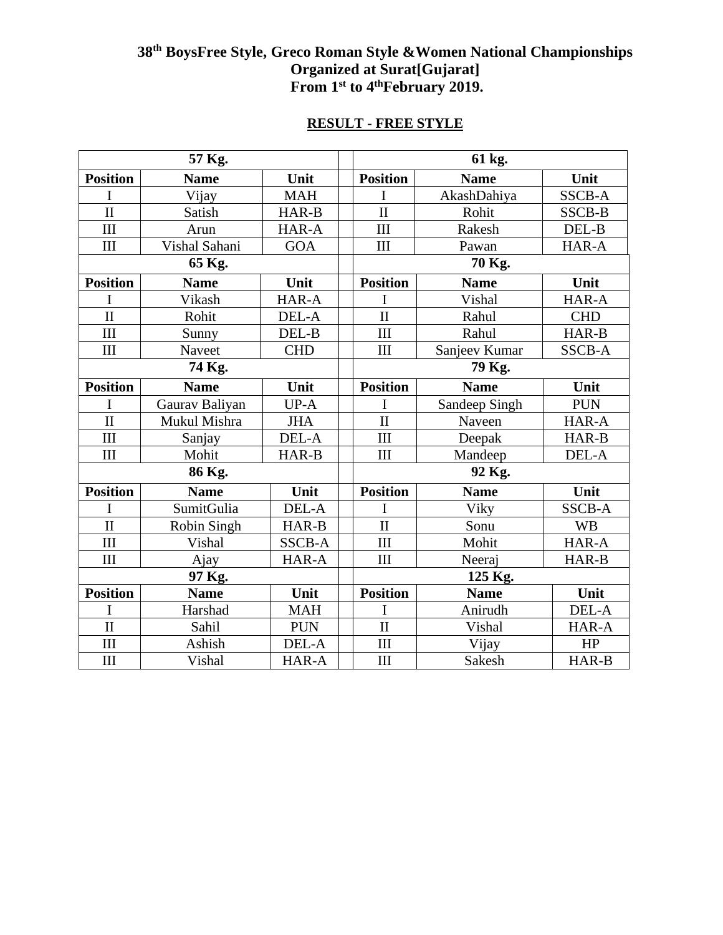## **38th BoysFree Style, Greco Roman Style &Women National Championships Organized at Surat[Gujarat] From 1 st to 4 thFebruary 2019.**

|                         | 57 Kg.         |               | 61 kg.                  |               |               |  |  |
|-------------------------|----------------|---------------|-------------------------|---------------|---------------|--|--|
| <b>Position</b>         | <b>Name</b>    | Unit          | <b>Position</b>         | <b>Name</b>   | Unit          |  |  |
| I                       | Vijay          | <b>MAH</b>    | I                       | AkashDahiya   | <b>SSCB-A</b> |  |  |
| $\overline{\rm II}$     | Satish         | HAR-B         | $\overline{\mathbf{H}}$ | Rohit         | SSCB-B        |  |  |
| III                     | Arun           | HAR-A         | III                     | Rakesh        | DEL-B         |  |  |
| III                     | Vishal Sahani  | <b>GOA</b>    | III                     | Pawan         | HAR-A         |  |  |
|                         | 65 Kg.         |               |                         | 70 Kg.        |               |  |  |
| <b>Position</b>         | <b>Name</b>    | Unit          | <b>Position</b>         | <b>Name</b>   | Unit          |  |  |
| I                       | Vikash         | HAR-A         | $\mathbf I$             | Vishal        | HAR-A         |  |  |
| $\rm II$                | Rohit          | DEL-A         | $\overline{\rm II}$     | Rahul         | <b>CHD</b>    |  |  |
| III                     | Sunny          | DEL-B         | III                     | Rahul         | HAR-B         |  |  |
| III                     | Naveet         | <b>CHD</b>    | III                     | Sanjeev Kumar | <b>SSCB-A</b> |  |  |
|                         | 74 Kg.         |               | 79 Kg.                  |               |               |  |  |
| <b>Position</b>         | <b>Name</b>    | Unit          | <b>Position</b>         | <b>Name</b>   | Unit          |  |  |
| I                       | Gaurav Baliyan | UP-A          | I                       | Sandeep Singh | <b>PUN</b>    |  |  |
| $\mathbf{I}$            | Mukul Mishra   | <b>JHA</b>    | $\mathbf{I}$            | Naveen        | HAR-A         |  |  |
| III                     | Sanjay         | DEL-A         | III                     | Deepak        | HAR-B         |  |  |
| III                     | Mohit          | HAR-B         | III                     | Mandeep       | DEL-A         |  |  |
|                         | 86 Kg.         |               | 92 Kg.                  |               |               |  |  |
| <b>Position</b>         | <b>Name</b>    | Unit          | <b>Position</b>         | <b>Name</b>   | Unit          |  |  |
| I                       | SumitGulia     | DEL-A         | $\mathbf I$             | Viky          | <b>SSCB-A</b> |  |  |
| $\mathbf{I}$            | Robin Singh    | HAR-B         | $\mathbf{I}$            | Sonu          | <b>WB</b>     |  |  |
| III                     | Vishal         | <b>SSCB-A</b> | III                     | Mohit         | HAR-A         |  |  |
| III                     | Ajay           | HAR-A         | III                     | Neeraj        | HAR-B         |  |  |
|                         | 97 Kg.         |               | 125 Kg.                 |               |               |  |  |
| <b>Position</b>         | <b>Name</b>    | Unit          | <b>Position</b>         | <b>Name</b>   | Unit          |  |  |
| I                       | Harshad        | <b>MAH</b>    | $\mathbf I$             | Anirudh       | DEL-A         |  |  |
| $\overline{\mathbf{u}}$ | Sahil          | <b>PUN</b>    | $\mathbf{I}$            | Vishal        | HAR-A         |  |  |
| III                     | Ashish         | DEL-A         | III                     | Vijay         | HP            |  |  |
| III                     | Vishal         | HAR-A         | III                     | Sakesh        | HAR-B         |  |  |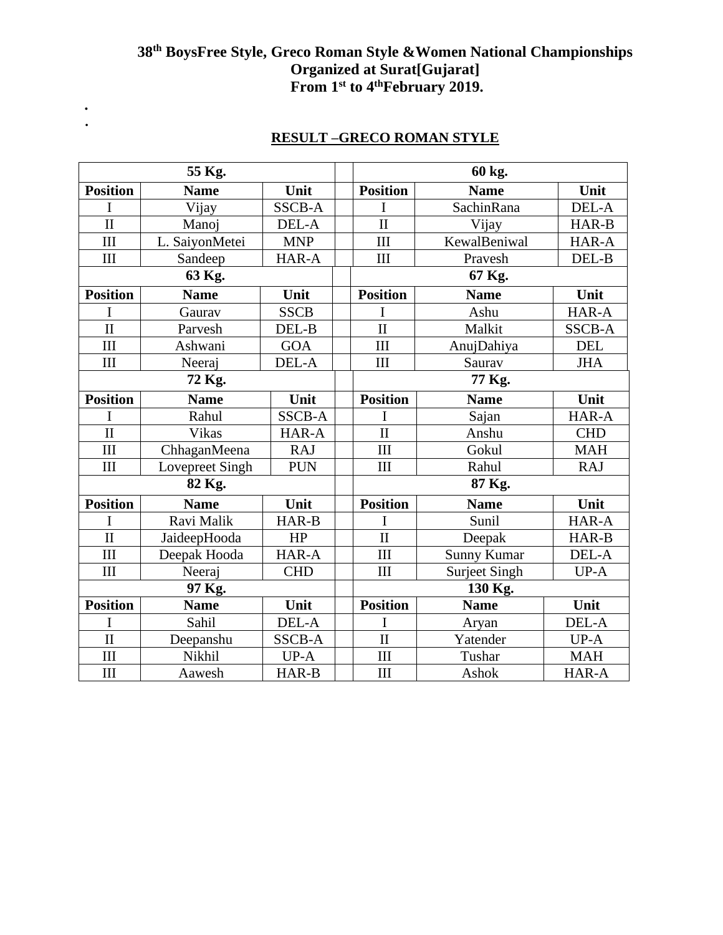## **38th BoysFree Style, Greco Roman Style &Women National Championships Organized at Surat[Gujarat] From 1st to 4thFebruary 2019.**

|                         | 55 Kg.          |               |                         | 60 kg.               |               |  |  |
|-------------------------|-----------------|---------------|-------------------------|----------------------|---------------|--|--|
| <b>Position</b>         | <b>Name</b>     | Unit          | <b>Position</b>         | <b>Name</b>          | Unit          |  |  |
| T                       | Vijay           | <b>SSCB-A</b> |                         | SachinRana           | DEL-A         |  |  |
| $\overline{\mathbf{H}}$ | Manoj           | DEL-A         | $\overline{\mathbf{I}}$ | Vijay                | HAR-B         |  |  |
| III                     | L. SaiyonMetei  | <b>MNP</b>    | III                     | KewalBeniwal         | HAR-A         |  |  |
| III                     | Sandeep         | HAR-A         | III                     | Pravesh              | DEL-B         |  |  |
|                         | 63 Kg.          |               |                         | 67 Kg.               |               |  |  |
| <b>Position</b>         | <b>Name</b>     | Unit          | <b>Position</b>         | <b>Name</b>          | Unit          |  |  |
| I                       | Gaurav          | <b>SSCB</b>   | I                       | Ashu                 | HAR-A         |  |  |
| $\overline{\rm II}$     | Parvesh         | DEL-B         | $\overline{\rm II}$     | Malkit               | <b>SSCB-A</b> |  |  |
| III                     | Ashwani         | <b>GOA</b>    | III                     | AnujDahiya           | <b>DEL</b>    |  |  |
| III                     | Neeraj          | DEL-A         | III                     | Saurav               | <b>JHA</b>    |  |  |
|                         | 72 Kg.          |               |                         | 77 Kg.               |               |  |  |
| <b>Position</b>         | <b>Name</b>     | Unit          | <b>Position</b>         | <b>Name</b>          | Unit          |  |  |
| I                       | Rahul           | <b>SSCB-A</b> | I                       | Sajan                | HAR-A         |  |  |
| $\overline{\rm II}$     | <b>Vikas</b>    | HAR-A         | $\mathbf{I}$            | Anshu                | <b>CHD</b>    |  |  |
| III                     | ChhaganMeena    | <b>RAJ</b>    | III                     | Gokul                | <b>MAH</b>    |  |  |
| III                     | Lovepreet Singh | <b>PUN</b>    | III                     | Rahul                | <b>RAJ</b>    |  |  |
|                         | 82 Kg.          |               | 87 Kg.                  |                      |               |  |  |
| <b>Position</b>         | <b>Name</b>     | Unit          | <b>Position</b>         | <b>Name</b>          | Unit          |  |  |
| I                       | Ravi Malik      | HAR-B         | I                       | Sunil                | HAR-A         |  |  |
| $\overline{\rm II}$     | JaideepHooda    | HP            | $\overline{\rm II}$     | Deepak               | HAR-B         |  |  |
| III                     | Deepak Hooda    | HAR-A         | III                     | Sunny Kumar          | DEL-A         |  |  |
| III                     | Neeraj          | <b>CHD</b>    | III                     | <b>Surject Singh</b> | $UP-A$        |  |  |
|                         | 97 Kg.          |               | 130 Kg.                 |                      |               |  |  |
| <b>Position</b>         | <b>Name</b>     | Unit          | <b>Position</b>         | <b>Name</b>          | Unit          |  |  |
| I                       | Sahil           | DEL-A         | I                       | Aryan                | DEL-A         |  |  |
| $\overline{\rm II}$     | Deepanshu       | <b>SSCB-A</b> | $\mathbf{I}$            | Yatender             | $UP-A$        |  |  |
| III                     | Nikhil          | $UP-A$        | III                     | Tushar               | <b>MAH</b>    |  |  |
| III                     | Aawesh          | HAR-B         | III                     | Ashok                | HAR-A         |  |  |

## **RESULT –GRECO ROMAN STYLE**

*.* **.**